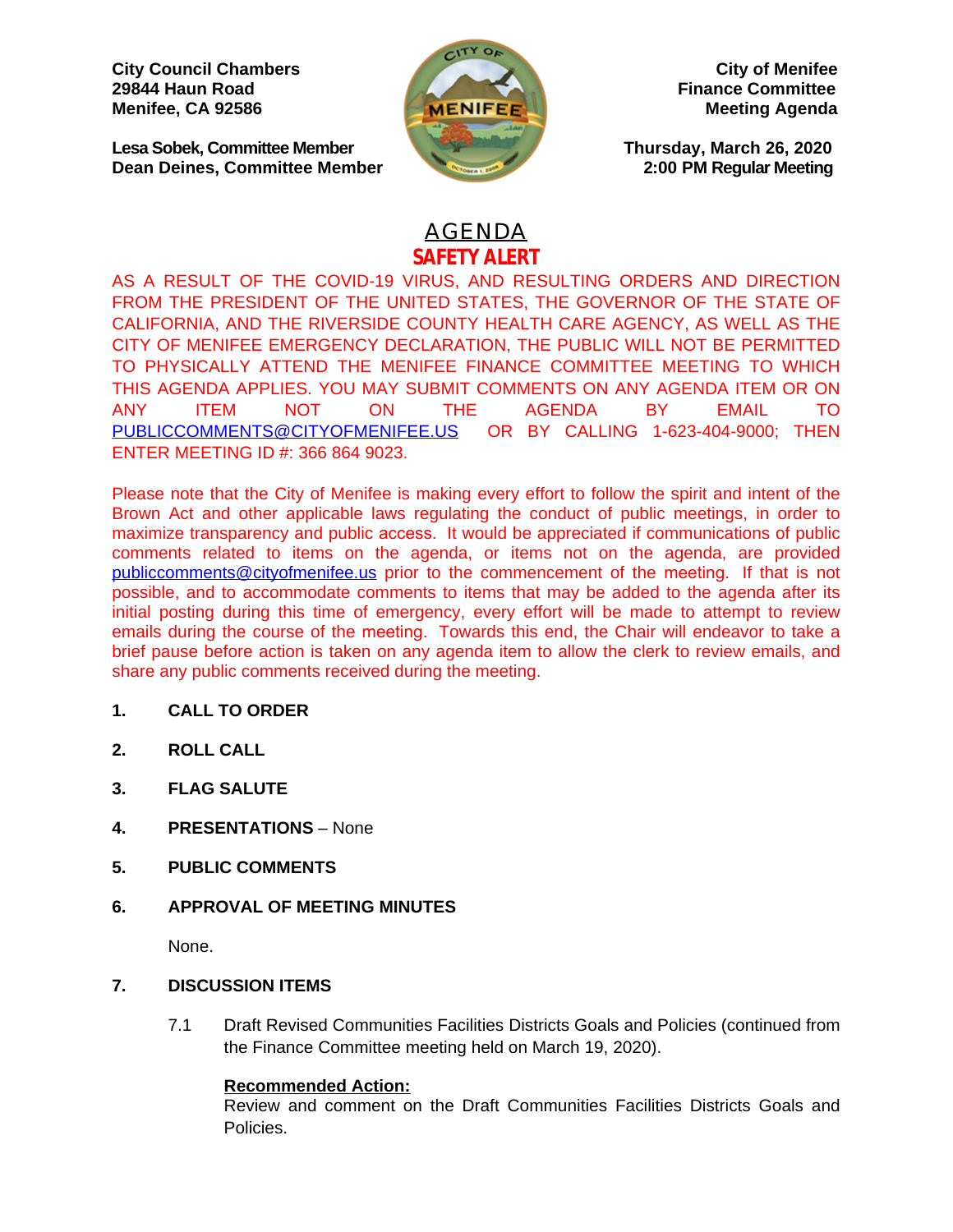**City Council Chambers** City of Menifee<br>
29844 Haun Road Finance Committee **Menifee, CA 92586 Meeting** Agenda Meeting Agenda

**Lesa Sobek, Committee Member Thursday, March 26, 2020 Dean Deines, Committee Member 2:00 PM Regular Meeting**



**Finance Committee** 

# AGENDA **SAFETY ALERT**

AS A RESULT OF THE COVID-19 VIRUS, AND RESULTING ORDERS AND DIRECTION FROM THE PRESIDENT OF THE UNITED STATES, THE GOVERNOR OF THE STATE OF CALIFORNIA, AND THE RIVERSIDE COUNTY HEALTH CARE AGENCY, AS WELL AS THE CITY OF MENIFEE EMERGENCY DECLARATION, THE PUBLIC WILL NOT BE PERMITTED TO PHYSICALLY ATTEND THE MENIFEE FINANCE COMMITTEE MEETING TO WHICH THIS AGENDA APPLIES. YOU MAY SUBMIT COMMENTS ON ANY AGENDA ITEM OR ON ANY ITEM NOT ON THE AGENDA BY EMAIL TO [PUBLICCOMMENTS@CITYOFMENIFEE.US](mailto:PUBLICCOMMENTS@CITYOFMENIFEE.US) OR BY CALLING 1-623-404-9000; THEN ENTER MEETING ID #: 366 864 9023.

Please note that the City of Menifee is making every effort to follow the spirit and intent of the Brown Act and other applicable laws regulating the conduct of public meetings, in order to maximize transparency and public access. It would be appreciated if communications of public comments related to items on the agenda, or items not on the agenda, are provided [publiccomments@cityofmenifee.us](mailto:publiccomments@cityofmenifee.us) prior to the commencement of the meeting. If that is not possible, and to accommodate comments to items that may be added to the agenda after its initial posting during this time of emergency, every effort will be made to attempt to review emails during the course of the meeting. Towards this end, the Chair will endeavor to take a brief pause before action is taken on any agenda item to allow the clerk to review emails, and share any public comments received during the meeting.

# **1. CALL TO ORDER**

- **2. ROLL CALL**
- **3. FLAG SALUTE**
- **4. PRESENTATIONS** None
- **5. PUBLIC COMMENTS**
- **6. APPROVAL OF MEETING MINUTES**

None.

# **7. DISCUSSION ITEMS**

7.1 Draft Revised Communities Facilities Districts Goals and Policies (continued from the Finance Committee meeting held on March 19, 2020).

# **Recommended Action:**

Review and comment on the Draft Communities Facilities Districts Goals and Policies.